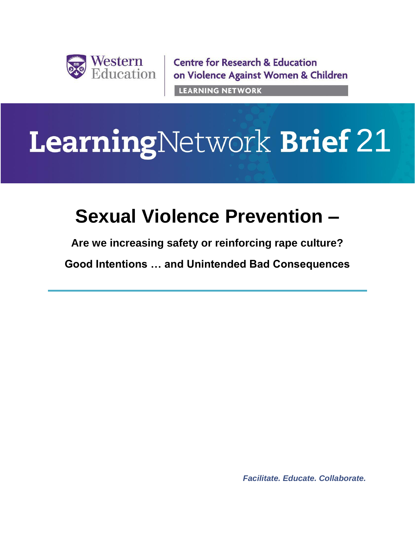

**Centre for Research & Education** on Violence Against Women & Children **LEARNING NETWORK** 

# **LearningNetwork Brief 21**

# **Sexual Violence Prevention –**

**Are we increasing safety or reinforcing rape culture?**

**Good Intentions … and Unintended Bad Consequences**

*Facilitate. Educate. Collaborate.*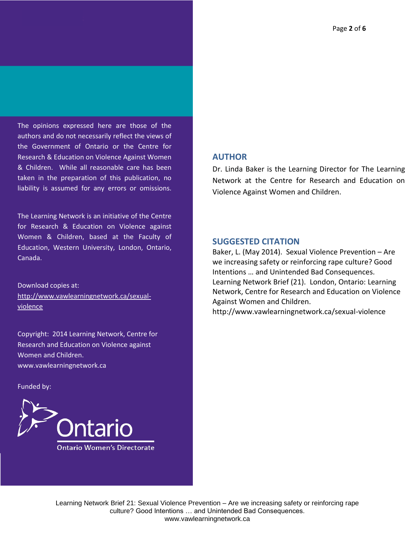The opinions expressed here are those of the authors and do not necessarily reflect the views of the Government of Ontario or the Centre for Research & Education on Violence Against Women & Children. While all reasonable care has been taken in the preparation of this publication, no liability is assumed for any errors or omissions.

The Learning Network is an initiative of the Centre for Research & Education on Violence against Women & Children, based at the Faculty of Education, Western University, London, Ontario, Canada.

Download copies at: http://www.vawlearningnetwork.ca/sexualviolence

Copyright: 2014 Learning Network, Centre for Research and Education on Violence against Women and Children. www.vawlearningnetwork.ca

Funded by:



#### **AUTHOR**

Dr. Linda Baker is the Learning Director for The Learning Network at the Centre for Research and Education on Violence Against Women and Children.

#### **SUGGESTED CITATION**

Baker, L. (May 2014). Sexual Violence Prevention – Are we increasing safety or reinforcing rape culture? Good Intentions … and Unintended Bad Consequences. Learning Network Brief (21). London, Ontario: Learning Network, Centre for Research and Education on Violence Against Women and Children.

http://www.vawlearningnetwork.ca/sexual-violence

Learning Network Brief 21: Sexual Violence Prevention – Are we increasing safety or reinforcing rape culture? Good Intentions … and Unintended Bad Consequences. www.vawlearningnetwork.ca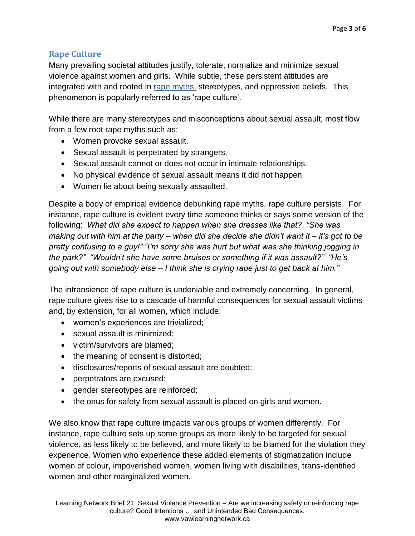# **Rape Culture**

Many prevailing societal attitudes justify, tolerate, normalize and minimize sexual violence against women and girls. While subtle, these persistent attitudes are integrated with and rooted in rape myths, stereotypes, and oppressive beliefs. This phenomenon is popularly referred to as 'rape culture'.

While there are many stereotypes and misconceptions about sexual assault, most flow from a few root rape myths such as:

- Women provoke sexual assault.
- Sexual assault is perpetrated by strangers.
- Sexual assault cannot or does not occur in intimate relationships.
- No physical evidence of sexual assault means it did not happen.
- Women lie about being sexually assaulted.

Despite a body of empirical evidence debunking rape myths, rape culture persists. For instance, rape culture is evident every time someone thinks or says some version of the following: *What did she expect to happen when she dresses like that? "She was making out with him at the party – when did she decide she didn't want it – it's got to be pretty confusing to a guy!" "I'm sorry she was hurt but what was she thinking jogging in the park?" "Wouldn't she have some bruises or something if it was assault?" "He's going out with somebody else – I think she is crying rape just to get back at him."* 

The intransience of rape culture is undeniable and extremely concerning. In general, rape culture gives rise to a cascade of harmful consequences for sexual assault victims and, by extension, for all women, which include:

- women's experiences are trivialized;
- sexual assault is minimized:
- victim/survivors are blamed:
- the meaning of consent is distorted;
- disclosures/reports of sexual assault are doubted;
- perpetrators are excused;
- gender stereotypes are reinforced;
- the onus for safety from sexual assault is placed on girls and women.

We also know that rape culture impacts various groups of women differently. For instance, rape culture sets up some groups as more likely to be targeted for sexual violence, as less likely to be believed, and more likely to be blamed for the violation they experience. Women who experience these added elements of stigmatization include women of colour, impoverished women, women living with disabilities, trans-identified women and other marginalized women.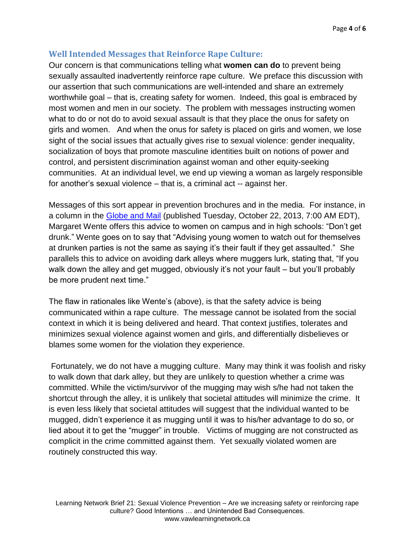### **Well Intended Messages that Reinforce Rape Culture:**

Our concern is that communications telling what **women can do** to prevent being sexually assaulted inadvertently reinforce rape culture. We preface this discussion with our assertion that such communications are well-intended and share an extremely worthwhile goal – that is, creating safety for women. Indeed, this goal is embraced by most women and men in our society. The problem with messages instructing women what to do or not do to avoid sexual assault is that they place the onus for safety on girls and women. And when the onus for safety is placed on girls and women, we lose sight of the social issues that actually gives rise to sexual violence: gender inequality, socialization of boys that promote masculine identities built on notions of power and control, and persistent discrimination against woman and other equity-seeking communities. At an individual level, we end up viewing a woman as largely responsible for another's sexual violence – that is, a criminal act -- against her.

Messages of this sort appear in prevention brochures and in the media. For instance, in a column in the [Globe and Mail](http://www.theglobeandmail.com/globe-debate/rape-culture-and-booze-culture/article14968433/) (published Tuesday, October 22, 2013, 7:00 AM EDT), Margaret Wente offers this advice to women on campus and in high schools: "Don't get drunk." Wente goes on to say that "Advising young women to watch out for themselves at drunken parties is not the same as saying it's their fault if they get assaulted." She parallels this to advice on avoiding dark alleys where muggers lurk, stating that, "If you walk down the alley and get mugged, obviously it's not your fault – but you'll probably be more prudent next time."

The flaw in rationales like Wente's (above), is that the safety advice is being communicated within a rape culture. The message cannot be isolated from the social context in which it is being delivered and heard. That context justifies, tolerates and minimizes sexual violence against women and girls, and differentially disbelieves or blames some women for the violation they experience.

Fortunately, we do not have a mugging culture. Many may think it was foolish and risky to walk down that dark alley, but they are unlikely to question whether a crime was committed. While the victim/survivor of the mugging may wish s/he had not taken the shortcut through the alley, it is unlikely that societal attitudes will minimize the crime. It is even less likely that societal attitudes will suggest that the individual wanted to be mugged, didn't experience it as mugging until it was to his/her advantage to do so, or lied about it to get the "mugger" in trouble. Victims of mugging are not constructed as complicit in the crime committed against them. Yet sexually violated women are routinely constructed this way.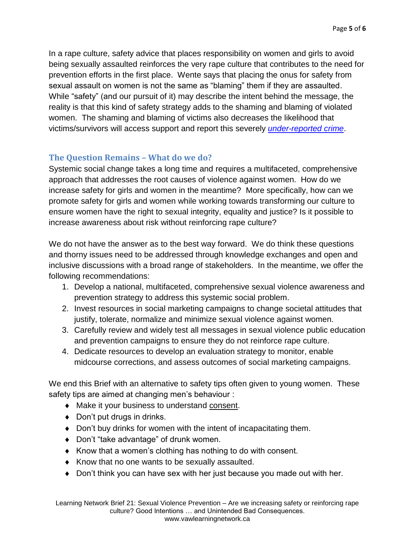In a rape culture, safety advice that places responsibility on women and girls to avoid being sexually assaulted reinforces the very rape culture that contributes to the need for prevention efforts in the first place. Wente says that placing the onus for safety from sexual assault on women is not the same as "blaming" them if they are assaulted. While "safety" (and our pursuit of it) may describe the intent behind the message, the reality is that this kind of safety strategy adds to the shaming and blaming of violated women. The shaming and blaming of victims also decreases the likelihood that victims/survivors will access support and report this severely *[under-reported crime](http://www.vawlearningnetwork.ca/sites/learningtoendabuse.ca.vawlearningnetwork/files/LN_Overcoming_Barriers_FINAL.pdf)*.

# **The Question Remains – What do we do?**

Systemic social change takes a long time and requires a multifaceted, comprehensive approach that addresses the root causes of violence against women. How do we increase safety for girls and women in the meantime? More specifically, how can we promote safety for girls and women while working towards transforming our culture to ensure women have the right to sexual integrity, equality and justice? Is it possible to increase awareness about risk without reinforcing rape culture?

We do not have the answer as to the best way forward. We do think these questions and thorny issues need to be addressed through knowledge exchanges and open and inclusive discussions with a broad range of stakeholders. In the meantime, we offer the following recommendations:

- 1. Develop a national, multifaceted, comprehensive sexual violence awareness and prevention strategy to address this systemic social problem.
- 2. Invest resources in social marketing campaigns to change societal attitudes that justify, tolerate, normalize and minimize sexual violence against women.
- 3. Carefully review and widely test all messages in sexual violence public education and prevention campaigns to ensure they do not reinforce rape culture.
- 4. Dedicate resources to develop an evaluation strategy to monitor, enable midcourse corrections, and assess outcomes of social marketing campaigns.

We end this Brief with an alternative to safety tips often given to young women. These safety tips are aimed at changing men's behaviour :

- Make it your business to understand consent.
- ◆ Don't put drugs in drinks.
- Don't buy drinks for women with the intent of incapacitating them.
- ◆ Don't "take advantage" of drunk women.
- $\bullet$  Know that a women's clothing has nothing to do with consent.
- $\bullet$  Know that no one wants to be sexually assaulted.
- Don't think you can have sex with her just because you made out with her.